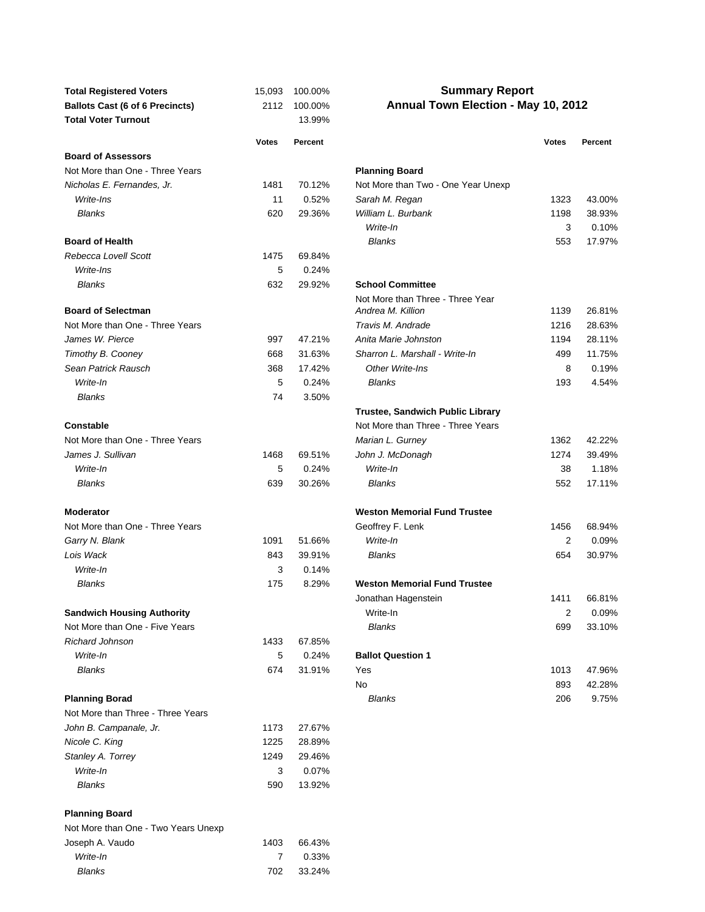| <b>Total Registered Voters</b>         | 15,093       | 100.00% | <b>Summary Report</b>                   |              |                 |  |
|----------------------------------------|--------------|---------|-----------------------------------------|--------------|-----------------|--|
| <b>Ballots Cast (6 of 6 Precincts)</b> | 2112         | 100.00% | Annual Town Election - May 10, 2012     |              |                 |  |
| <b>Total Voter Turnout</b>             |              | 13.99%  |                                         |              |                 |  |
|                                        |              |         |                                         |              |                 |  |
| <b>Board of Assessors</b>              | <b>Votes</b> | Percent |                                         | <b>Votes</b> | Percent         |  |
| Not More than One - Three Years        |              |         |                                         |              |                 |  |
|                                        |              |         | <b>Planning Board</b>                   |              |                 |  |
| Nicholas E. Fernandes, Jr.             | 1481         | 70.12%  | Not More than Two - One Year Unexp      |              |                 |  |
| Write-Ins                              | 11           | 0.52%   | Sarah M. Regan                          | 1323         | 43.00%          |  |
| <b>Blanks</b>                          | 620          | 29.36%  | William L. Burbank                      | 1198         | 38.93%          |  |
| <b>Board of Health</b>                 |              |         | Write-In<br><b>Blanks</b>               | 3<br>553     | 0.10%<br>17.97% |  |
| Rebecca Lovell Scott                   | 1475         | 69.84%  |                                         |              |                 |  |
| Write-Ins                              | 5            | 0.24%   |                                         |              |                 |  |
| <b>Blanks</b>                          | 632          | 29.92%  | <b>School Committee</b>                 |              |                 |  |
|                                        |              |         | Not More than Three - Three Year        |              |                 |  |
| <b>Board of Selectman</b>              |              |         | Andrea M. Killion                       | 1139         | 26.81%          |  |
| Not More than One - Three Years        |              |         | Travis M. Andrade                       | 1216         | 28.63%          |  |
| James W. Pierce                        | 997          | 47.21%  | Anita Marie Johnston                    | 1194         | 28.11%          |  |
| Timothy B. Cooney                      | 668          | 31.63%  | Sharron L. Marshall - Write-In          | 499          | 11.75%          |  |
| Sean Patrick Rausch                    | 368          | 17.42%  | Other Write-Ins                         | 8            | 0.19%           |  |
| Write-In                               | 5            | 0.24%   | <b>Blanks</b>                           | 193          | 4.54%           |  |
| <b>Blanks</b>                          | 74           | 3.50%   |                                         |              |                 |  |
|                                        |              |         | <b>Trustee, Sandwich Public Library</b> |              |                 |  |
| <b>Constable</b>                       |              |         | Not More than Three - Three Years       |              |                 |  |
| Not More than One - Three Years        |              |         | Marian L. Gurney                        | 1362         | 42.22%          |  |
| James J. Sullivan                      | 1468         | 69.51%  | John J. McDonagh                        | 1274         | 39.49%          |  |
| Write-In                               | 5            | 0.24%   | Write-In                                | 38           | 1.18%           |  |
| <b>Blanks</b>                          | 639          | 30.26%  | <b>Blanks</b>                           | 552          | 17.11%          |  |
|                                        |              |         |                                         |              |                 |  |
| <b>Moderator</b>                       |              |         | <b>Weston Memorial Fund Trustee</b>     |              |                 |  |
| Not More than One - Three Years        |              |         | Geoffrey F. Lenk                        | 1456         | 68.94%          |  |
| Garry N. Blank                         | 1091         | 51.66%  | Write-In                                | 2            | 0.09%           |  |
| Lois Wack                              | 843          | 39.91%  | <b>Blanks</b>                           | 654          | 30.97%          |  |
| Write-In                               | 3            | 0.14%   |                                         |              |                 |  |
| <b>Blanks</b>                          | 175          | 8.29%   | <b>Weston Memorial Fund Trustee</b>     |              |                 |  |
|                                        |              |         | Jonathan Hagenstein                     | 1411         | 66.81%          |  |
| <b>Sandwich Housing Authority</b>      |              |         | Write-In                                | 2            | 0.09%           |  |
| Not More than One - Five Years         |              |         | <b>Blanks</b>                           | 699          | 33.10%          |  |
| <b>Richard Johnson</b>                 | 1433         | 67.85%  |                                         |              |                 |  |
| Write-In                               | 5            | 0.24%   | <b>Ballot Question 1</b>                |              |                 |  |
| <b>Blanks</b>                          | 674          | 31.91%  | Yes                                     | 1013         | 47.96%          |  |
|                                        |              |         | No                                      | 893          | 42.28%          |  |
| <b>Planning Borad</b>                  |              |         | <b>Blanks</b>                           | 206          | 9.75%           |  |
| Not More than Three - Three Years      |              |         |                                         |              |                 |  |
| John B. Campanale, Jr.                 | 1173         | 27.67%  |                                         |              |                 |  |
| Nicole C. King                         | 1225         | 28.89%  |                                         |              |                 |  |
| Stanley A. Torrey                      | 1249         | 29.46%  |                                         |              |                 |  |
| Write-In                               | 3            | 0.07%   |                                         |              |                 |  |
| <b>Blanks</b>                          | 590          | 13.92%  |                                         |              |                 |  |
|                                        |              |         |                                         |              |                 |  |
| <b>Planning Board</b>                  |              |         |                                         |              |                 |  |
| Not More than One - Two Years Unexp    |              |         |                                         |              |                 |  |
| Joseph A. Vaudo                        | 1403         | 66.43%  |                                         |              |                 |  |
| Write-In                               | 7            | 0.33%   |                                         |              |                 |  |
| <b>Blanks</b>                          | 702          | 33.24%  |                                         |              |                 |  |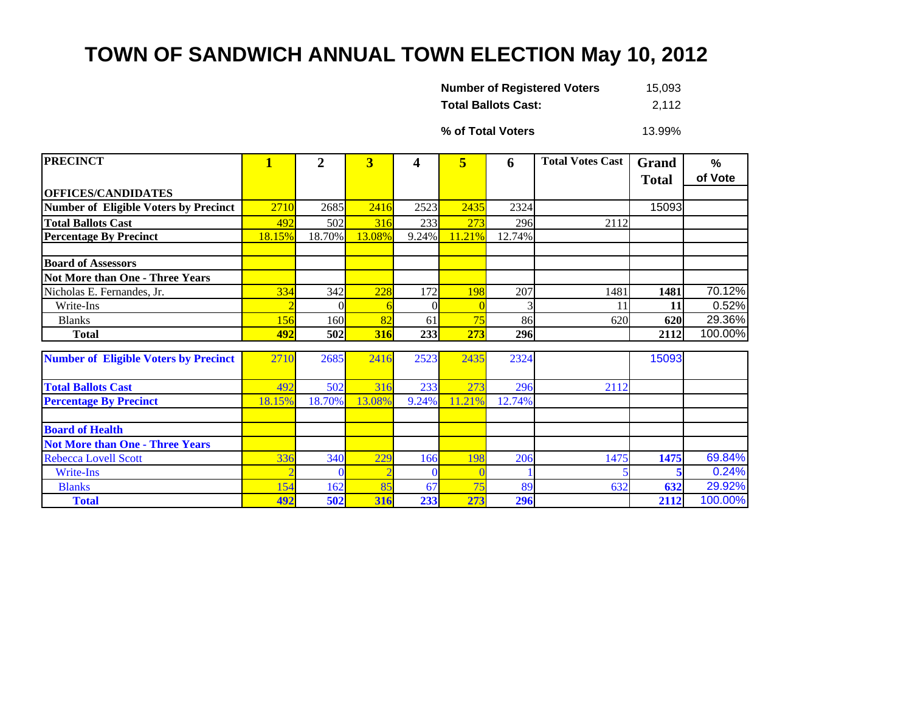## **TOWN OF SANDWICH ANNUAL TOWN ELECTION May 10, 2012**

| <b>Number of Registered Voters</b> | 15,093 |
|------------------------------------|--------|
| <b>Total Ballots Cast:</b>         | 2,112  |

**% of Total Voters**

13.99%

| <b>PRECINCT</b>                              | $\mathbf{1}$   | $\overline{2}$ | $\overline{\mathbf{3}}$ | 4        | 5      | 6      | <b>Total Votes Cast</b> | Grand        | %       |
|----------------------------------------------|----------------|----------------|-------------------------|----------|--------|--------|-------------------------|--------------|---------|
|                                              |                |                |                         |          |        |        |                         | <b>Total</b> | of Vote |
| <b>OFFICES/CANDIDATES</b>                    |                |                |                         |          |        |        |                         |              |         |
| Number of Eligible Voters by Precinct        | 2710           | 2685           | 2416                    | 2523     | 2435   | 2324   |                         | 15093        |         |
| <b>Total Ballots Cast</b>                    | 492            | 502            | 316                     | 233      | 273    | 296    | 2112                    |              |         |
| <b>Percentage By Precinct</b>                | 18.15%         | 18.70%         | 13.08%                  | $9.24\%$ | 11.21% | 12.74% |                         |              |         |
|                                              |                |                |                         |          |        |        |                         |              |         |
| <b>Board of Assessors</b>                    |                |                |                         |          |        |        |                         |              |         |
| <b>Not More than One - Three Years</b>       |                |                |                         |          |        |        |                         |              |         |
| Nicholas E. Fernandes, Jr.                   | 334            | 342            | 228                     | 172      | 198    | 207    | 1481                    | 1481         | 70.12%  |
| Write-Ins                                    | $\overline{2}$ |                |                         | $\Omega$ | C      | 3      | 11                      | 11           | 0.52%   |
| <b>Blanks</b>                                | 156            | 160            | 82                      | 61       | 75     | 86     | 620                     | 620          | 29.36%  |
| <b>Total</b>                                 | 492            | 502            | 316                     | 233      | 273    | 296    |                         | 2112         | 100.00% |
|                                              |                |                |                         |          |        |        |                         |              |         |
| <b>Number of Eligible Voters by Precinct</b> | 2710           | 2685           | 2416                    | 2523     | 2435   | 2324   |                         | 15093        |         |
| <b>Total Ballots Cast</b>                    | 492            | 502            | 316                     | 233      | 273    | 296    | 2112                    |              |         |
| <b>Percentage By Precinct</b>                | 18.15%         | 18.70%         | 13.08%                  | 9.24%    | 11.21% | 12.74% |                         |              |         |
|                                              |                |                |                         |          |        |        |                         |              |         |
| <b>Board of Health</b>                       |                |                |                         |          |        |        |                         |              |         |
| <b>Not More than One - Three Years</b>       |                |                |                         |          |        |        |                         |              |         |
| <b>Rebecca Lovell Scott</b>                  | 336            | 340            | 229                     | 166      | 198    | 206    | 1475                    | 1475         | 69.84%  |
| Write-Ins                                    |                |                |                         |          |        |        |                         |              | 0.24%   |
| <b>Blanks</b>                                | 154            | 162            | 85                      | 67       | 75     | 89     | 632                     | 632          | 29.92%  |
| <b>Total</b>                                 | 492            | 502            | 316                     | 233      | 273    | 296    |                         | 2112         | 100.00% |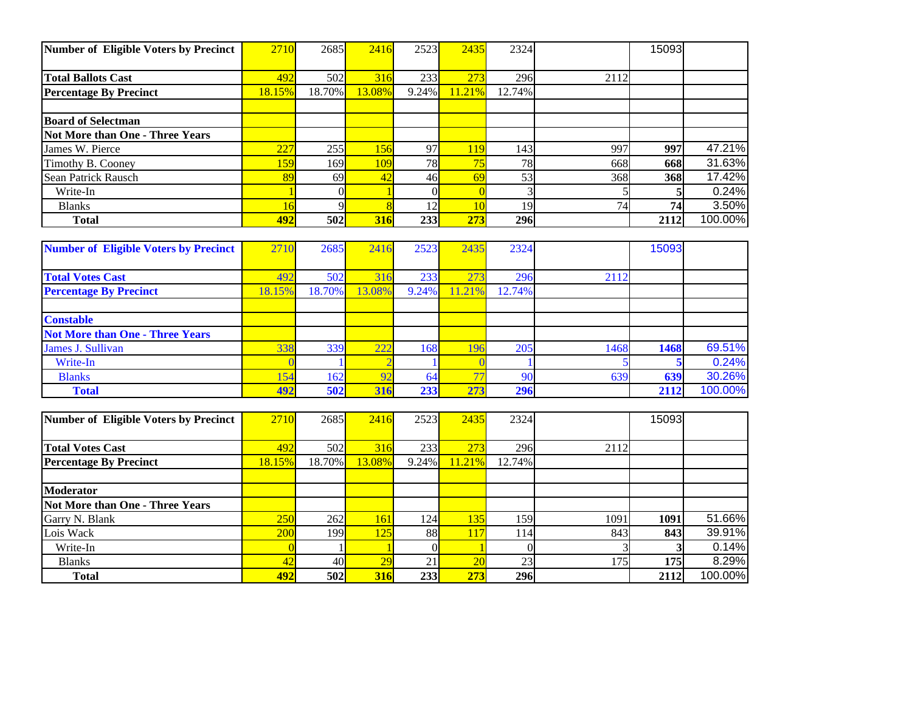| Number of Eligible Voters by Precinct        | 2710             | 2685     | 2416   | 2523             | 2435            | 2324            |                 | 15093 |         |
|----------------------------------------------|------------------|----------|--------|------------------|-----------------|-----------------|-----------------|-------|---------|
| <b>Total Ballots Cast</b>                    | 492              | 502      | 316    | 233              | 273             | 296             | 2112            |       |         |
| <b>Percentage By Precinct</b>                | 18.15%           | 18.70%   | 13.08% | 9.24%            | 11.21%          | 12.74%          |                 |       |         |
|                                              |                  |          |        |                  |                 |                 |                 |       |         |
| <b>Board of Selectman</b>                    |                  |          |        |                  |                 |                 |                 |       |         |
| <b>Not More than One - Three Years</b>       |                  |          |        |                  |                 |                 |                 |       |         |
| James W. Pierce                              | $\overline{227}$ | 255      | 156    | 97               | 119             | 143             | 997             | 997   | 47.21%  |
| Timothy B. Cooney                            | 159              | 169      | 109    | 78               | 75              | 78              | 668             | 668   | 31.63%  |
| Sean Patrick Rausch                          | 89               | 69       | 42     | 46               | 69              | $\overline{53}$ | 368             | 368   | 17.42%  |
| Write-In                                     |                  | $\Omega$ |        | $\Omega$         | $\Omega$        | 3               |                 |       | 0.24%   |
| <b>Blanks</b>                                | 16               |          |        | 12               | 10              | 19              | $\overline{74}$ | 74    | 3.50%   |
| <b>Total</b>                                 | 492              | 502      | 316    | $\overline{233}$ | 273             | 296             |                 | 2112  | 100.00% |
|                                              |                  |          |        |                  |                 |                 |                 |       |         |
| <b>Number of Eligible Voters by Precinct</b> | 2710             | 2685     | 2416   | 2523             | 2435            | 2324            |                 | 15093 |         |
| <b>Total Votes Cast</b>                      | 492              | 502      | 316    | 233              | 273             | 296             | 2112            |       |         |
| <b>Percentage By Precinct</b>                | 18.15%           | 18.70%   | 13.08% | 9.24%            | 11.21%          | 12.74%          |                 |       |         |
|                                              |                  |          |        |                  |                 |                 |                 |       |         |
| <b>Constable</b>                             |                  |          |        |                  |                 |                 |                 |       |         |
| <b>Not More than One - Three Years</b>       |                  |          |        |                  |                 |                 |                 |       |         |
| James J. Sullivan                            | 338              | 339      | 222    | 168              | 196             | 205             | 1468            | 1468  | 69.51%  |
| Write-In                                     |                  |          |        |                  |                 |                 |                 | 5     | 0.24%   |
| <b>Blanks</b>                                | 154              | 162      | 92     | 64               | $\overline{77}$ | 90              | 639             | 639   | 30.26%  |
| <b>Total</b>                                 | 492              | 502      | 316    | 233              | 273             | 296             |                 | 2112  | 100.00% |
|                                              |                  |          |        |                  |                 |                 |                 |       |         |
| <b>Number of Eligible Voters by Precinct</b> | 2710             | 2685     | 2416   | 2523             | 2435            | 2324            |                 | 15093 |         |
| <b>Total Votes Cast</b>                      | 492              | 502      | 316    | 233              | 273             | 296             | 2112            |       |         |
| <b>Percentage By Precinct</b>                | 18.15%           | 18.70%   | 13.08% | 9.24%            | 11.21%          | 12.74%          |                 |       |         |
|                                              |                  |          |        |                  |                 |                 |                 |       |         |
| <b>Moderator</b>                             |                  |          |        |                  |                 |                 |                 |       |         |
| <b>Not More than One - Three Years</b>       |                  |          |        |                  |                 |                 |                 |       |         |
| Garry N. Blank                               | 250              | 262      | 161    | 124              | 135             | 159             | 1091            | 1091  | 51.66%  |
| Lois Wack                                    | 200              | 199      | 125    | 88               | 117             | 114             | 843             | 843   | 39.91%  |
| Write-In                                     | $\Omega$         |          |        | $\Omega$         |                 | $\Omega$        |                 |       | 0.14%   |
| <b>Blanks</b>                                | 42               | 40       | 29     | 21               | $\overline{20}$ | 23              | 175             | 175   | 8.29%   |
| <b>Total</b>                                 | 492              | 502      | 316    | 233              | 273             | 296             |                 | 2112  | 100.00% |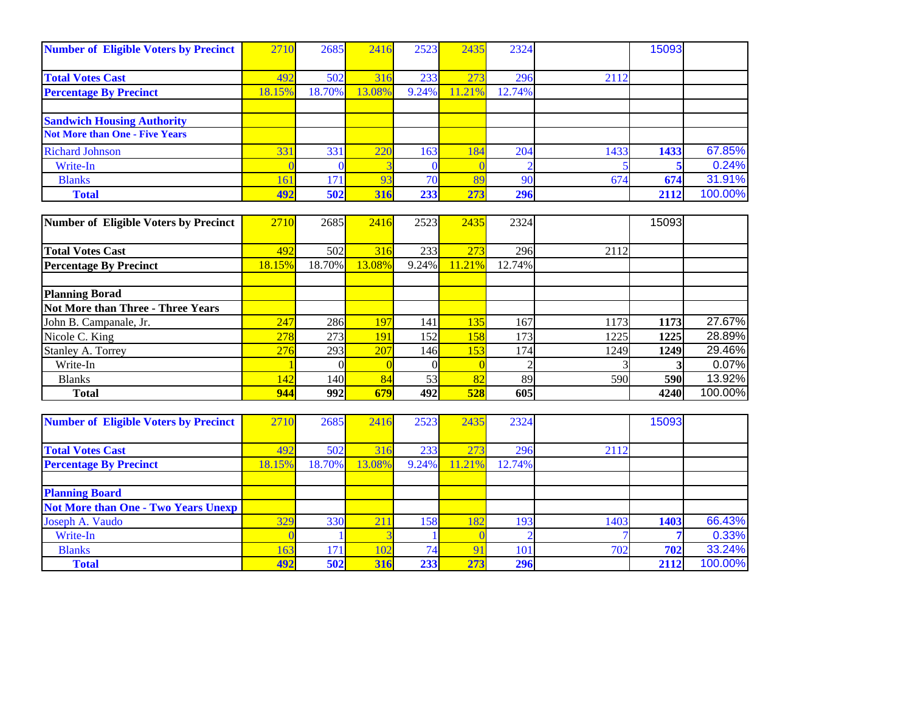| <b>Number of Eligible Voters by Precinct</b> | 2710   | 2685   | 2416   | 2523            | 2435  | 2324   |      | 15093 |         |
|----------------------------------------------|--------|--------|--------|-----------------|-------|--------|------|-------|---------|
|                                              |        |        |        |                 |       |        |      |       |         |
| <b>Total Votes Cast</b>                      | 492    | 502    | 316    | 233             | 273   | 296    | 2112 |       |         |
| <b>Percentage By Precinct</b>                | 18.15% | 18.70% | 13.08% | 9.24%           | 1.21% | 12.74% |      |       |         |
|                                              |        |        |        |                 |       |        |      |       |         |
| <b>Sandwich Housing Authority</b>            |        |        |        |                 |       |        |      |       |         |
| <b>Not More than One - Five Years</b>        |        |        |        |                 |       |        |      |       |         |
| <b>Richard Johnson</b>                       | 331    | 331    | 220    | 163             | 184   | 204    | 1433 | 1433  | 67.85%  |
| Write-In                                     |        |        |        |                 |       |        |      |       | 0.24%   |
| <b>Blanks</b>                                | 161    | 171    | 93     | 70 <sub>1</sub> | 89    | 90     | 674  | 674   | 31.91%  |
| <b>Total</b>                                 | 492    | 502    | 316    | 233             | 273   | 296    |      | 2112  | 100.00% |

| Number of Eligible Voters by Precinct | 2710   | 2685   | 2416   | 2523  | 2435   | 2324   |      | 15093 |         |
|---------------------------------------|--------|--------|--------|-------|--------|--------|------|-------|---------|
|                                       |        |        |        |       |        |        |      |       |         |
| <b>Total Votes Cast</b>               | 492    | 502    | 316    | 233   | 273    | 296    | 2112 |       |         |
| <b>Percentage By Precinct</b>         | 18.15% | 18.70% | 13.08% | 9.24% | 11.21% | 12.74% |      |       |         |
|                                       |        |        |        |       |        |        |      |       |         |
| <b>Planning Borad</b>                 |        |        |        |       |        |        |      |       |         |
| Not More than Three - Three Years     |        |        |        |       |        |        |      |       |         |
| John B. Campanale, Jr.                | 247    | 286    | 197    | 141   | 135    | 167    | 1173 | 1173  | 27.67%  |
| Nicole C. King                        | 278    | 273    | 191    | 1521  | 158    | 173    | 1225 | 1225  | 28.89%  |
| <b>Stanley A. Torrey</b>              | 276    | 293    | 207    | 146I  | 153    | 174    | 1249 | 1249  | 29.46%  |
| Write-In                              |        |        |        |       |        |        |      |       | 0.07%   |
| <b>Blanks</b>                         | 142    | 140    | 84     | 53    | 82     | 89     | 590  | 590   | 13.92%  |
| <b>Total</b>                          | 944    | 992    | 679    | 492   | 528    | 605    |      | 4240  | 100.00% |

| <b>Number of Eligible Voters by Precinct</b> | 2710   | 2685       | 2416   | 2523  | 2435       | 2324   |      | 15093 |         |
|----------------------------------------------|--------|------------|--------|-------|------------|--------|------|-------|---------|
|                                              |        |            |        |       |            |        |      |       |         |
| <b>Total Votes Cast</b>                      | 492    | 502        | 316    | 233   | 273        | 296    | 2112 |       |         |
| <b>Percentage By Precinct</b>                | 18.15% | 18.70%     | 13.08% | 9.24% | 11.21%     | 12.74% |      |       |         |
|                                              |        |            |        |       |            |        |      |       |         |
| <b>Planning Board</b>                        |        |            |        |       |            |        |      |       |         |
| <b>Not More than One - Two Years Unexp</b>   |        |            |        |       |            |        |      |       |         |
| Joseph A. Vaudo                              | 329    | 330        | 211    | 158   | <b>182</b> | 193    | 1403 | 1403  | 66.43%  |
| Write-In                                     |        |            |        |       |            |        |      |       | 0.33%   |
| <b>Blanks</b>                                | 163    | 171        | 102    | 74.   | 91         | 101    | 702  | 702   | 33.24%  |
| <b>Total</b>                                 | 492    | <b>502</b> | 316    | 233   | 273        | 296    |      | 2112  | 100.00% |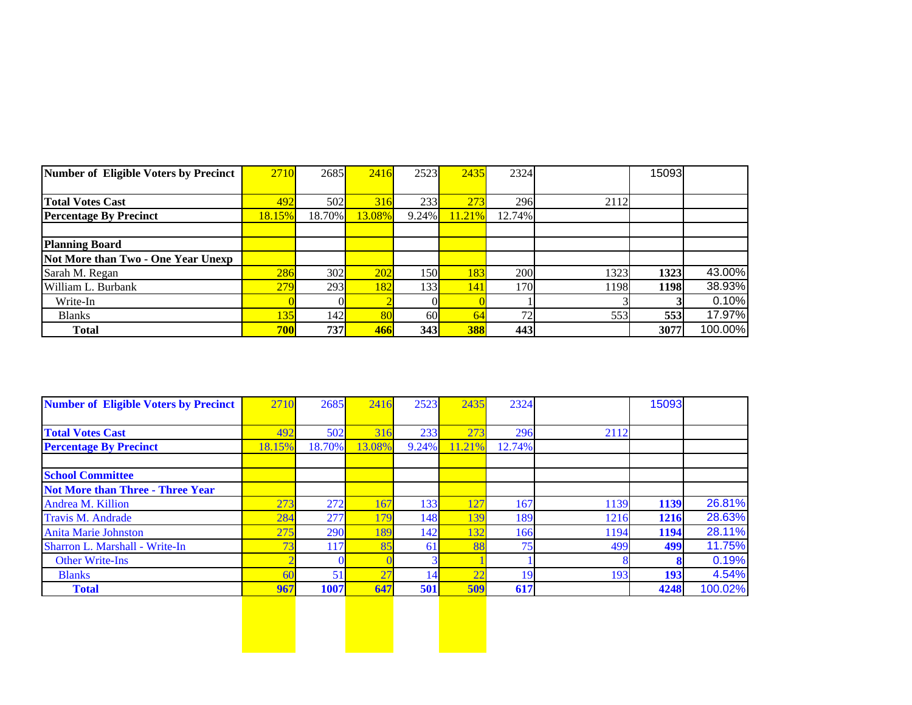| Number of Eligible Voters by Precinct | 2710   | 2685   | 2416   | 2523            | 2435       | 2324   |      | 15093 |         |
|---------------------------------------|--------|--------|--------|-----------------|------------|--------|------|-------|---------|
|                                       |        |        |        |                 |            |        |      |       |         |
| <b>Total Votes Cast</b>               | 492    | 502    | 316    | 233             | 273        | 296    | 2112 |       |         |
| <b>Percentage By Precinct</b>         | 18.15% | 18.70% | 13.08% | $9.24\%$        | 11.21%     | 12.74% |      |       |         |
|                                       |        |        |        |                 |            |        |      |       |         |
| <b>Planning Board</b>                 |        |        |        |                 |            |        |      |       |         |
| Not More than Two - One Year Unexp    |        |        |        |                 |            |        |      |       |         |
| Sarah M. Regan                        | 286    | 302    | 202    | 150I            | 183        | 200    | 1323 | 1323  | 43.00%  |
| William L. Burbank                    | 279    | 293    | 182    | 133             | <b>141</b> | 170    | 1198 | 1198  | 38.93%  |
| Write-In                              |        |        |        |                 |            |        |      |       | 0.10%   |
| <b>Blanks</b>                         | 135    | 142    | 80     | 60 <sup>l</sup> | 64         | 72     | 553  | 553   | 17.97%  |
| <b>Total</b>                          | 700    | 737    | 466    | 343             | <b>388</b> | 443    |      | 3077  | 100.00% |

| <b>Number of Eligible Voters by Precinct</b> | 2710   | 2685   | 2416   | 2523  | 2435            | 2324   |      | 15093 |         |
|----------------------------------------------|--------|--------|--------|-------|-----------------|--------|------|-------|---------|
|                                              |        |        |        |       |                 |        |      |       |         |
| <b>Total Votes Cast</b>                      | 492    | 502    | 316    | 233   | 273             | 296    | 2112 |       |         |
| <b>Percentage By Precinct</b>                | 18.15% | 18.70% | 13.08% | 9.24% | 11.21%          | 12.74% |      |       |         |
| <b>School Committee</b>                      |        |        |        |       |                 |        |      |       |         |
| <b>Not More than Three - Three Year</b>      |        |        |        |       |                 |        |      |       |         |
| Andrea M. Killion                            | 273    | 272    | 167    | 133   | 27              | 167    | 1139 | 1139  | 26.81%  |
| Travis M. Andrade                            | 284    | 277    | 179    | 148   | 39              | 189    | 1216 | 1216  | 28.63%  |
| <b>Anita Marie Johnston</b>                  | 275    | 290    | 189    | 142   | 32              | 166    | 1194 | 1194  | 28.11%  |
| Sharron L. Marshall - Write-In               |        | 117    | 85     | 61    | 88              | 75     | 499  | 499   | 11.75%  |
| <b>Other Write-Ins</b>                       |        |        |        |       |                 |        |      |       | 0.19%   |
| <b>Blanks</b>                                | 60     | 51     | 27     | 14    | $\overline{22}$ | 19     | 193  | 193   | 4.54%   |
| <b>Total</b>                                 | 967    | 1007   | 647    | 501   | 509             | 617    |      | 4248  | 100.02% |
|                                              |        |        |        |       |                 |        |      |       |         |
|                                              |        |        |        |       |                 |        |      |       |         |
|                                              |        |        |        |       |                 |        |      |       |         |
|                                              |        |        |        |       |                 |        |      |       |         |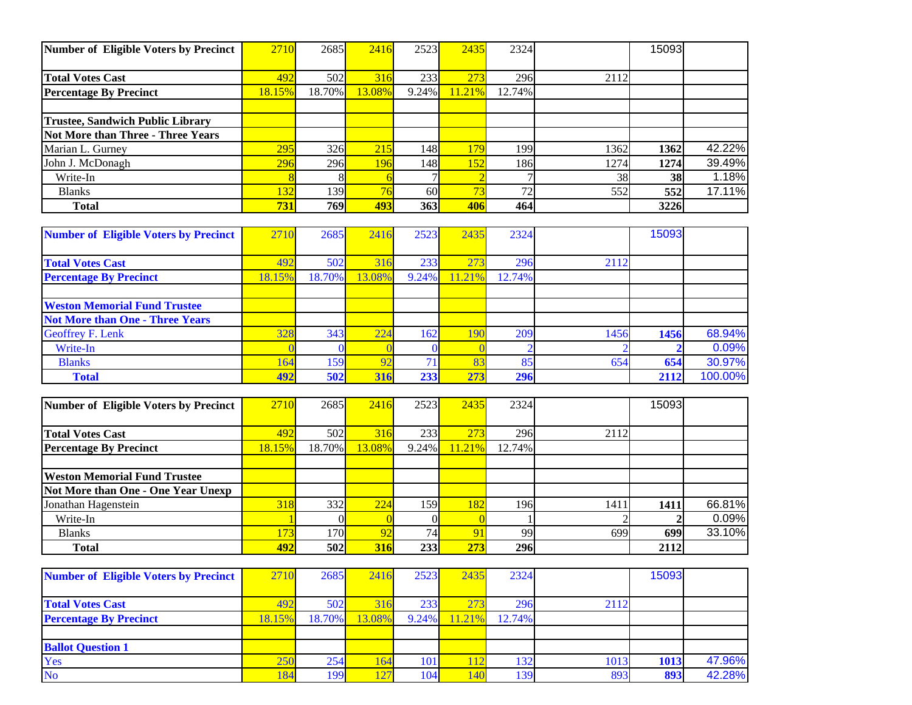|        | 316                                                                              |                                                                                          |            |                                                              |                          |                                                                                   |                                  |
|--------|----------------------------------------------------------------------------------|------------------------------------------------------------------------------------------|------------|--------------------------------------------------------------|--------------------------|-----------------------------------------------------------------------------------|----------------------------------|
| 18.15% | 13.08%                                                                           |                                                                                          | 11.21%     |                                                              |                          |                                                                                   |                                  |
|        |                                                                                  |                                                                                          |            |                                                              |                          |                                                                                   |                                  |
|        |                                                                                  |                                                                                          |            |                                                              |                          |                                                                                   |                                  |
|        |                                                                                  |                                                                                          |            |                                                              |                          |                                                                                   |                                  |
|        | 215                                                                              |                                                                                          | 179        |                                                              |                          | 1362                                                                              | 42.22%                           |
|        | 196                                                                              |                                                                                          | <b>152</b> |                                                              |                          | 1274                                                                              | 39.49%                           |
|        |                                                                                  |                                                                                          |            |                                                              |                          |                                                                                   | 1.18%                            |
|        |                                                                                  |                                                                                          |            |                                                              |                          | 552                                                                               | 17.11%                           |
|        | 493                                                                              |                                                                                          |            |                                                              |                          |                                                                                   |                                  |
|        | Number of Eligible Voters by Precinct<br>2710<br>492<br>295<br>296<br>132<br>731 | 2685<br>502<br>18.70%<br>326<br>296<br>$\overline{76}$<br>139 <sup> </sup><br><b>769</b> | 2416       | 2523<br>233<br>9.24%<br>148 <sup> </sup><br>148<br>60<br>363 | 2435<br>273<br>73<br>406 | 2324<br>296<br>2112<br>12.74%<br>1991<br>1362<br>1861<br>1274<br>72<br>552<br>464 | 15093<br>38<br><b>38</b><br>3226 |

| <b>Number of Eligible Voters by Precinct</b> | 2710   | 2685   | 2416   | 2523  | 2435   | 2324   |      | 15093 |         |
|----------------------------------------------|--------|--------|--------|-------|--------|--------|------|-------|---------|
|                                              |        |        |        |       |        |        |      |       |         |
| <b>Total Votes Cast</b>                      | 492    | 502    | 316    | 233   | 273    | 296    | 2112 |       |         |
| <b>Percentage By Precinct</b>                | 18.15% | 18.70% | 13.08% | 9.24% | 11.21% | 12.74% |      |       |         |
|                                              |        |        |        |       |        |        |      |       |         |
| <b>Weston Memorial Fund Trustee</b>          |        |        |        |       |        |        |      |       |         |
| <b>Not More than One - Three Years</b>       |        |        |        |       |        |        |      |       |         |
| <b>Geoffrey F. Lenk</b>                      | 328    | 343    | 224    | 162   | 190    | 209    | 1456 | 1456  | 68.94%  |
| Write-In                                     |        |        |        |       |        |        |      |       | 0.09%   |
| <b>Blanks</b>                                | 164    | 159    | 92     |       | 83     | 85     | 654  | 654   | 30.97%  |
| <b>Total</b>                                 | 492    | 502    | 316    | 233   | 273    | 296    |      | 2112  | 100.00% |

| Number of Eligible Voters by Precinct | 2710   | 2685             | 2416   | 2523            | 2435       | 2324   |      | 15093 |        |
|---------------------------------------|--------|------------------|--------|-----------------|------------|--------|------|-------|--------|
|                                       |        |                  |        |                 |            |        |      |       |        |
| <b>Total Votes Cast</b>               | 492    | 502              | 316    | 233             | 273        | 296    | 2112 |       |        |
| <b>Percentage By Precinct</b>         | 18.15% | 18.70%           | 13.08% | $9.24\%$        | 11.21%     | 12.74% |      |       |        |
|                                       |        |                  |        |                 |            |        |      |       |        |
| <b>Weston Memorial Fund Trustee</b>   |        |                  |        |                 |            |        |      |       |        |
| Not More than One - One Year Unexp    |        |                  |        |                 |            |        |      |       |        |
| Jonathan Hagenstein                   | 318    | 332              | 224    | 159             | <b>182</b> | 196    | 1411 | 1411  | 66.81% |
| Write-In                              |        |                  |        |                 |            |        |      |       | 0.09%  |
| <b>Blanks</b>                         | 73     | 170              | 92     | 74 <sub>1</sub> | 91         | 99     | 699  | 699   | 33.10% |
| <b>Total</b>                          | 492    | 502 <sup> </sup> | 316    | 233             | 273        | 296    |      | 2112  |        |

| <b>Number of Eligible Voters by Precinct</b> | 2710   | 2685   | 2416   | 2523     | 2435   | 2324   |      | 15093 |        |
|----------------------------------------------|--------|--------|--------|----------|--------|--------|------|-------|--------|
|                                              |        |        |        |          |        |        |      |       |        |
| <b>Total Votes Cast</b>                      | 492    | 502    | 316    | 233      | 273    | 296    | 2112 |       |        |
| <b>Percentage By Precinct</b>                | 18.15% | 18.70% | 13.08% | $9.24\%$ | 11.21% | 12.74% |      |       |        |
|                                              |        |        |        |          |        |        |      |       |        |
| <b>Ballot Question 1</b>                     |        |        |        |          |        |        |      |       |        |
| Yes                                          | 250    | 254    | 164    | 101      |        | 132    | 1013 | 1013  | 47.96% |
| <b>No</b>                                    | 184    | 199    | 127    | 104      | 140    | 139    | 893  | 893   | 42.28% |